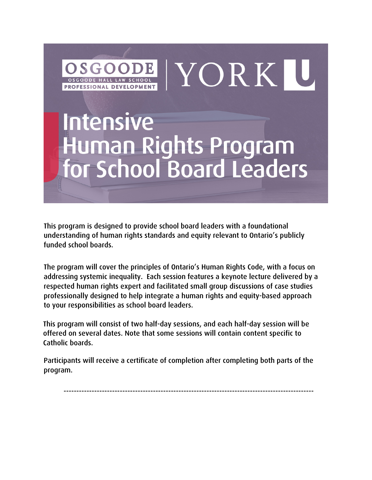

This program is designed to provide school board leaders with a foundational understanding of human rights standards and equity relevant to Ontario's publicly funded school boards.

The program will cover the principles of Ontario's Human Rights Code, with a focus on addressing systemic inequality. Each session features a keynote lecture delivered by a respected human rights expert and facilitated small group discussions of case studies professionally designed to help integrate a human rights and equity-based approach to your responsibilities as school board leaders.

This program will consist of two half-day sessions, and each half-day session will be offered on several dates. Note that some sessions will contain content specific to Catholic boards.

Participants will receive a certificate of completion after completing both parts of the program.

--------------------------------------------------------------------------------------------------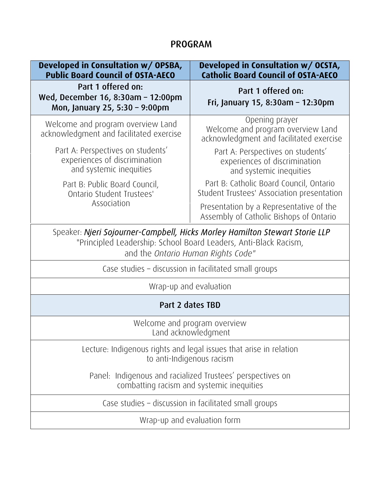## PROGRAM

| Developed in Consultation w/ OPSBA,<br><b>Public Board Council of OSTA-AECO</b>                                                                                                       | Developed in Consultation w/ OCSTA,<br><b>Catholic Board Council of OSTA-AECO</b>              |
|---------------------------------------------------------------------------------------------------------------------------------------------------------------------------------------|------------------------------------------------------------------------------------------------|
| Part 1 offered on:<br>Wed, December 16, 8:30am - 12:00pm<br>Mon, January 25, 5:30 - 9:00pm                                                                                            | Part 1 offered on:<br>Fri, January 15, 8:30am - 12:30pm                                        |
| Welcome and program overview Land<br>acknowledgment and facilitated exercise                                                                                                          | Opening prayer<br>Welcome and program overview Land<br>acknowledgment and facilitated exercise |
| Part A: Perspectives on students'<br>experiences of discrimination<br>and systemic inequities                                                                                         | Part A: Perspectives on students'<br>experiences of discrimination<br>and systemic inequities  |
| Part B: Public Board Council,<br>Ontario Student Trustees'                                                                                                                            | Part B: Catholic Board Council, Ontario<br>Student Trustees' Association presentation          |
| Association                                                                                                                                                                           | Presentation by a Representative of the<br>Assembly of Catholic Bishops of Ontario             |
| Speaker: Njeri Sojourner-Campbell, Hicks Morley Hamilton Stewart Storie LLP<br>"Principled Leadership: School Board Leaders, Anti-Black Racism,<br>and the Ontario Human Rights Code" |                                                                                                |
| Case studies - discussion in facilitated small groups                                                                                                                                 |                                                                                                |
| Wrap-up and evaluation                                                                                                                                                                |                                                                                                |
| Part 2 dates TBD                                                                                                                                                                      |                                                                                                |
| Welcome and program overview<br>Land acknowledgment                                                                                                                                   |                                                                                                |
| Lecture: Indigenous rights and legal issues that arise in relation<br>to anti-Indigenous racism                                                                                       |                                                                                                |
| Panel: Indigenous and racialized Trustees' perspectives on<br>combatting racism and systemic inequities                                                                               |                                                                                                |
| Case studies – discussion in facilitated small groups                                                                                                                                 |                                                                                                |
| Wrap-up and evaluation form                                                                                                                                                           |                                                                                                |